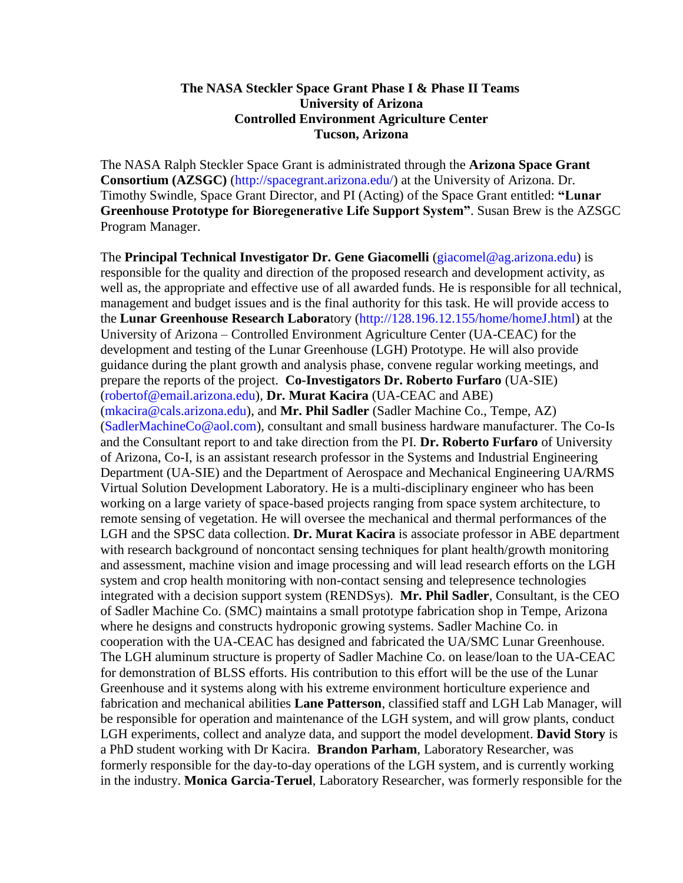## **The NASA Steckler Space Grant Phase I & Phase II Teams University of Arizona Controlled Environment Agriculture Center Tucson, Arizona**

The NASA Ralph Steckler Space Grant is administrated through the **Arizona Space Grant Consortium (AZSGC)** (http://spacegrant.arizona.edu/) at the University of Arizona. Dr. Timothy Swindle, Space Grant Director, and PI (Acting) of the Space Grant entitled: **"Lunar Greenhouse Prototype for Bioregenerative Life Support System"**. Susan Brew is the AZSGC Program Manager.

The **Principal Technical Investigator Dr. Gene Giacomelli** (giacomel@ag.arizona.edu) is responsible for the quality and direction of the proposed research and development activity, as well as, the appropriate and effective use of all awarded funds. He is responsible for all technical, management and budget issues and is the final authority for this task. He will provide access to the **Lunar Greenhouse Research Labora**tory (http://128.196.12.155/home/homeJ.html) at the University of Arizona – Controlled Environment Agriculture Center (UA-CEAC) for the development and testing of the Lunar Greenhouse (LGH) Prototype. He will also provide guidance during the plant growth and analysis phase, convene regular working meetings, and prepare the reports of the project. **Co-Investigators Dr. Roberto Furfaro** (UA-SIE) (robertof@email.arizona.edu), **Dr. Murat Kacira** (UA-CEAC and ABE) (mkacira@cals.arizona.edu), and **Mr. Phil Sadler** (Sadler Machine Co., Tempe, AZ) (SadlerMachineCo@aol.com), consultant and small business hardware manufacturer. The Co-Is and the Consultant report to and take direction from the PI. **Dr. Roberto Furfaro** of University of Arizona, Co-I, is an assistant research professor in the Systems and Industrial Engineering Department (UA-SIE) and the Department of Aerospace and Mechanical Engineering UA/RMS Virtual Solution Development Laboratory. He is a multi-disciplinary engineer who has been working on a large variety of space-based projects ranging from space system architecture, to remote sensing of vegetation. He will oversee the mechanical and thermal performances of the LGH and the SPSC data collection. **Dr. Murat Kacira** is associate professor in ABE department with research background of noncontact sensing techniques for plant health/growth monitoring and assessment, machine vision and image processing and will lead research efforts on the LGH system and crop health monitoring with non-contact sensing and telepresence technologies integrated with a decision support system (RENDSys). **Mr. Phil Sadler**, Consultant, is the CEO of Sadler Machine Co. (SMC) maintains a small prototype fabrication shop in Tempe, Arizona where he designs and constructs hydroponic growing systems. Sadler Machine Co. in cooperation with the UA-CEAC has designed and fabricated the UA/SMC Lunar Greenhouse. The LGH aluminum structure is property of Sadler Machine Co. on lease/loan to the UA-CEAC for demonstration of BLSS efforts. His contribution to this effort will be the use of the Lunar Greenhouse and it systems along with his extreme environment horticulture experience and fabrication and mechanical abilities **Lane Patterson**, classified staff and LGH Lab Manager, will be responsible for operation and maintenance of the LGH system, and will grow plants, conduct LGH experiments, collect and analyze data, and support the model development. **David Story** is a PhD student working with Dr Kacira. **Brandon Parham**, Laboratory Researcher, was formerly responsible for the day-to-day operations of the LGH system, and is currently working in the industry. **Monica Garcia-Teruel**, Laboratory Researcher, was formerly responsible for the